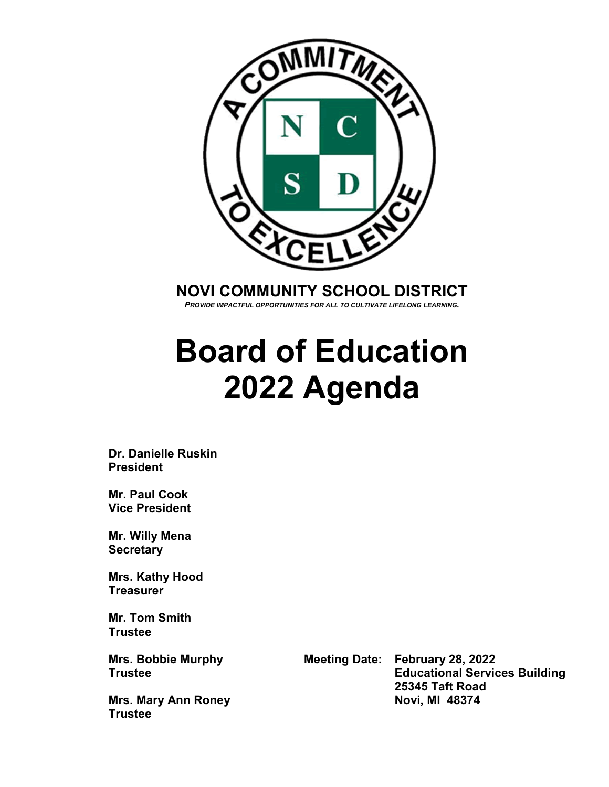

**NOVI COMMUNITY SCHOOL DISTRICT**

*PROVIDE IMPACTFUL OPPORTUNITIES FOR ALL TO CULTIVATE LIFELONG LEARNING.*

# **Board of Education 2022 Agenda**

**Dr. Danielle Ruskin President**

**Mr. Paul Cook Vice President**

**Mr. Willy Mena Secretary**

**Mrs. Kathy Hood Treasurer**

**Mr. Tom Smith Trustee**

**Mrs. Mary Ann Roney Trustee**

**Mrs. Bobbie Murphy Meeting Date: February 28, 2022 Educational Services Building 25345 Taft Road**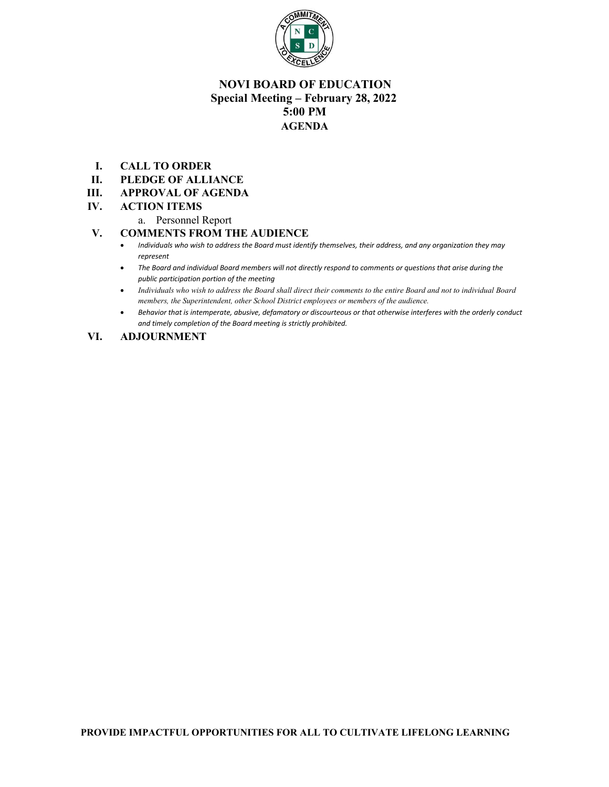

# **NOVI BOARD OF EDUCATION Special Meeting – February 28, 2022 5:00 PM AGENDA**

- **I. CALL TO ORDER**
- **II. PLEDGE OF ALLIANCE**
- **III. APPROVAL OF AGENDA**

#### **IV. ACTION ITEMS**

a. Personnel Report

#### **V. COMMENTS FROM THE AUDIENCE**

- *Individuals who wish to address the Board must identify themselves, their address, and any organization they may represent*
- *The Board and individual Board members will not directly respond to comments or questions that arise during the public participation portion of the meeting*
- *Individuals who wish to address the Board shall direct their comments to the entire Board and not to individual Board members, the Superintendent, other School District employees or members of the audience.*
- *Behavior that is intemperate, abusive, defamatory or discourteous or that otherwise interferes with the orderly conduct and timely completion of the Board meeting is strictly prohibited.*

#### **VI. ADJOURNMENT**